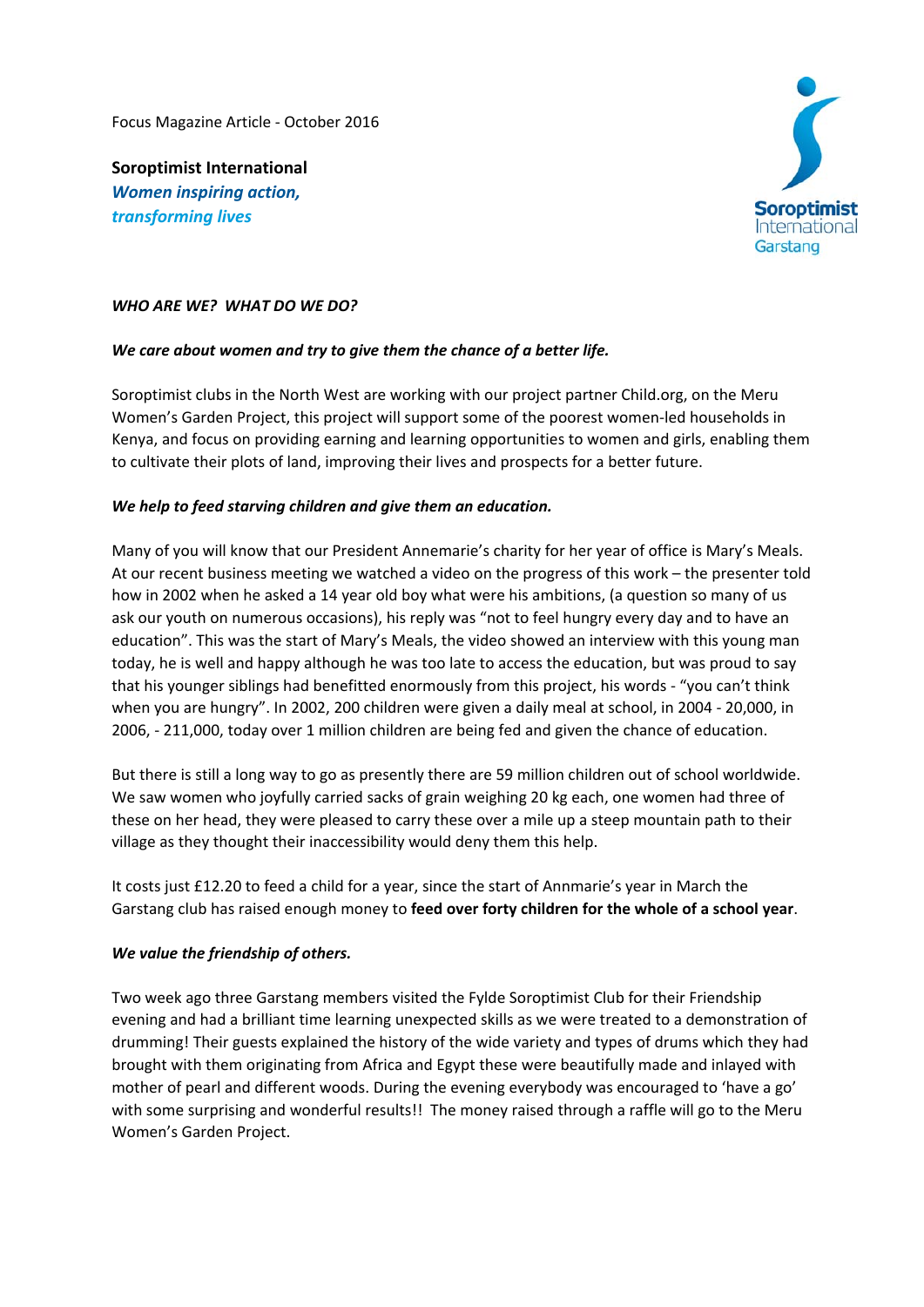Focus Magazine Article ‐ October 2016

**Soroptimist International**  *Women inspiring action, transforming lives*



## WHO ARE WE? WHAT DO WE DO?

## *We care about women and try to give them the chance of a better life.*

Soroptimist clubs in the North West are working with our project partner Child.org, on the Meru Women's Garden Project, this project will support some of the poorest women‐led households in Kenya, and focus on providing earning and learning opportunities to women and girls, enabling them to cultivate their plots of land, improving their lives and prospects for a better future.

## *We help to feed starving children and give them an education.*

Many of you will know that our President Annemarie's charity for her year of office is Mary's Meals. At our recent business meeting we watched a video on the progress of this work – the presenter told how in 2002 when he asked a 14 year old boy what were his ambitions, (a question so many of us ask our youth on numerous occasions), his reply was "not to feel hungry every day and to have an education". This was the start of Mary's Meals, the video showed an interview with this young man today, he is well and happy although he was too late to access the education, but was proud to say that his younger siblings had benefitted enormously from this project, his words ‐ "you can't think when you are hungry". In 2002, 200 children were given a daily meal at school, in 2004 ‐ 20,000, in 2006, ‐ 211,000, today over 1 million children are being fed and given the chance of education.

But there is still a long way to go as presently there are 59 million children out of school worldwide. We saw women who joyfully carried sacks of grain weighing 20 kg each, one women had three of these on her head, they were pleased to carry these over a mile up a steep mountain path to their village as they thought their inaccessibility would deny them this help.

It costs just £12.20 to feed a child for a year, since the start of Annmarie's year in March the Garstang club has raised enough money to **feed over forty children for the whole of a school year**.

## *We value the friendship of others.*

Two week ago three Garstang members visited the Fylde Soroptimist Club for their Friendship evening and had a brilliant time learning unexpected skills as we were treated to a demonstration of drumming! Their guests explained the history of the wide variety and types of drums which they had brought with them originating from Africa and Egypt these were beautifully made and inlayed with mother of pearl and different woods. During the evening everybody was encouraged to 'have a go' with some surprising and wonderful results!! The money raised through a raffle will go to the Meru Women's Garden Project.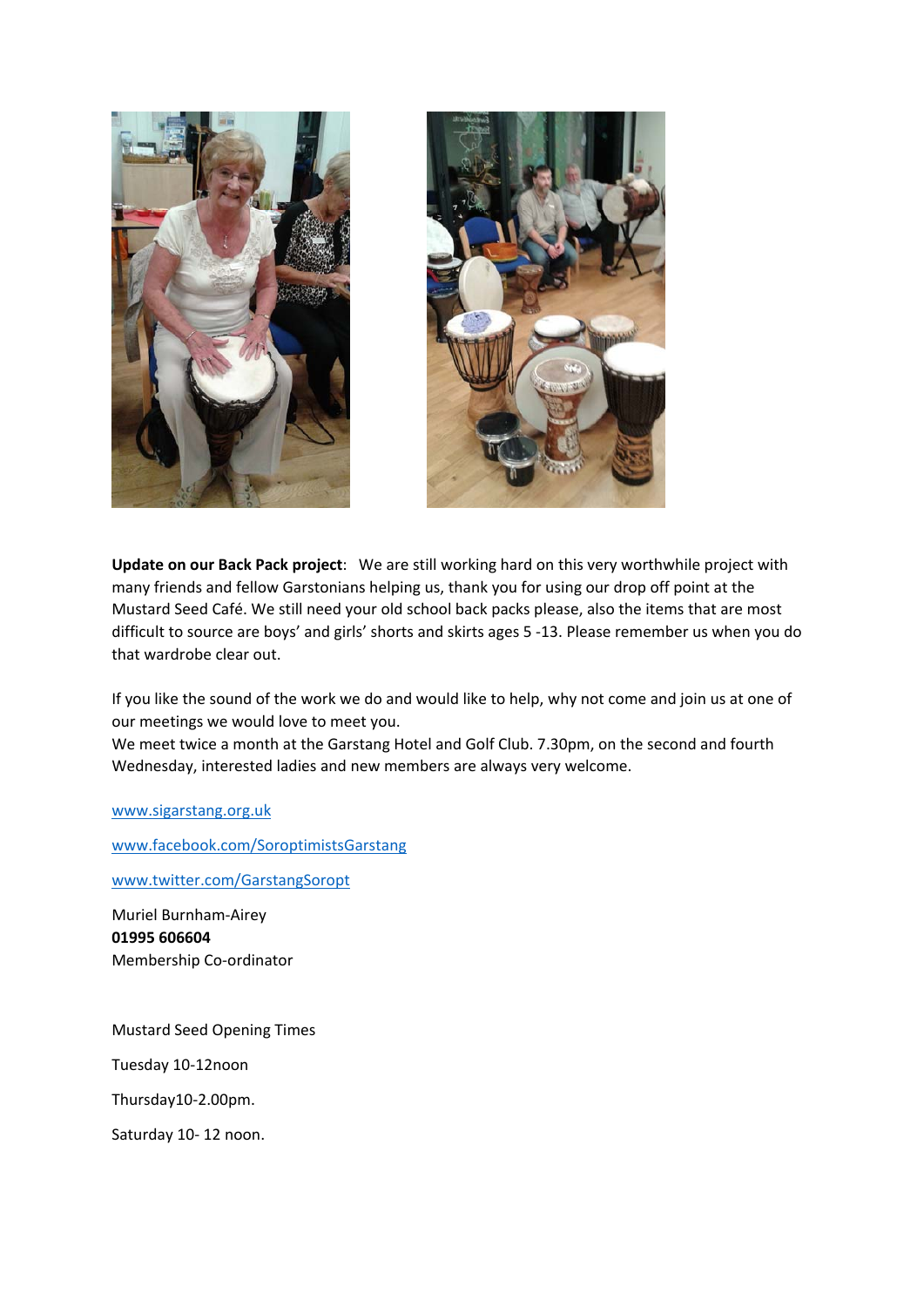



**Update on our Back Pack project**: We are still working hard on this very worthwhile project with many friends and fellow Garstonians helping us, thank you for using our drop off point at the Mustard Seed Café. We still need your old school back packs please, also the items that are most difficult to source are boys' and girls' shorts and skirts ages 5 ‐13. Please remember us when you do that wardrobe clear out.

If you like the sound of the work we do and would like to help, why not come and join us at one of our meetings we would love to meet you.

We meet twice a month at the Garstang Hotel and Golf Club. 7.30pm, on the second and fourth Wednesday, interested ladies and new members are always very welcome.

www.sigarstang.org.uk

www.facebook.com/SoroptimistsGarstang

www.twitter.com/GarstangSoropt

Muriel Burnham‐Airey **01995 606604** Membership Co‐ordinator

Mustard Seed Opening Times Tuesday 10‐12noon Thursday10‐2.00pm. Saturday 10‐ 12 noon.